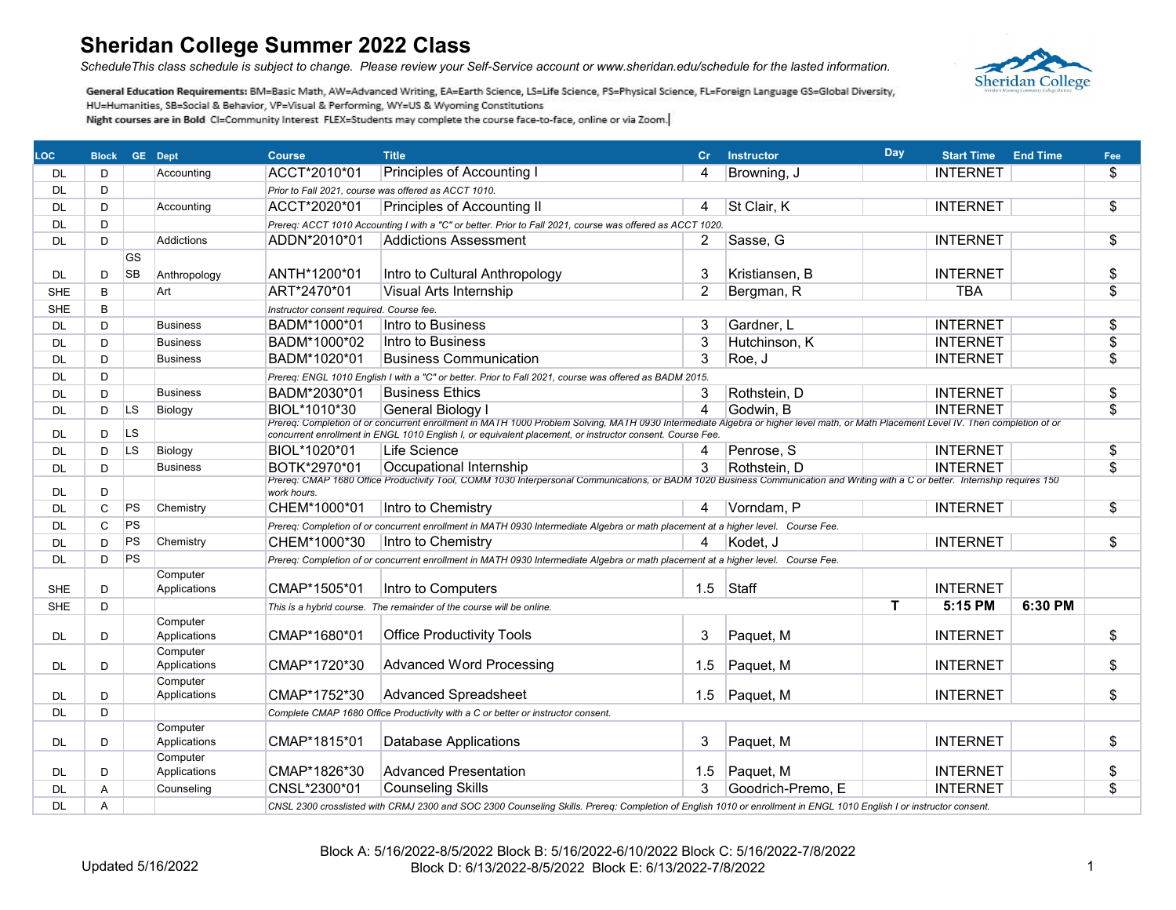*ScheduleThis class schedule is subject to change. Please review your Self-Service account or www.sheridan.edu/schedule for the lasted information.*



| <b>LOC</b>             | <b>Block GE Dept</b> |                |                          | <b>Course</b>                            | <b>Title</b>                                                                                                                                                                                                                                                                                    | Cr.            | <b>Instructor</b> | Day                     | <b>Start Time</b> | <b>End Time</b> | Fee                      |
|------------------------|----------------------|----------------|--------------------------|------------------------------------------|-------------------------------------------------------------------------------------------------------------------------------------------------------------------------------------------------------------------------------------------------------------------------------------------------|----------------|-------------------|-------------------------|-------------------|-----------------|--------------------------|
| DL.                    | D                    |                | Accounting               | ACCT*2010*01                             | Principles of Accounting I                                                                                                                                                                                                                                                                      | 4              | Browning, J       |                         | <b>INTERNET</b>   |                 | \$                       |
| <b>DL</b>              | D                    |                |                          |                                          | Prior to Fall 2021, course was offered as ACCT 1010.                                                                                                                                                                                                                                            |                |                   |                         |                   |                 |                          |
| <b>DL</b>              | D                    |                | Accounting               | ACCT*2020*01                             | Principles of Accounting II                                                                                                                                                                                                                                                                     | 4              | St Clair, K       |                         | <b>INTERNET</b>   |                 | \$                       |
| <b>DL</b>              | D                    |                |                          |                                          | Prereq: ACCT 1010 Accounting I with a "C" or better. Prior to Fall 2021, course was offered as ACCT 1020.                                                                                                                                                                                       |                |                   |                         |                   |                 |                          |
| DL                     | D                    |                | Addictions               | ADDN*2010*01                             | <b>Addictions Assessment</b>                                                                                                                                                                                                                                                                    | $\overline{c}$ | Sasse, G          |                         | <b>INTERNET</b>   |                 | $\overline{\$}$          |
|                        |                      | GS             |                          |                                          |                                                                                                                                                                                                                                                                                                 |                |                   |                         |                   |                 |                          |
| <b>DL</b>              | D                    | SB             | Anthropology             | ANTH*1200*01                             | Intro to Cultural Anthropology                                                                                                                                                                                                                                                                  | 3              | Kristiansen, B    |                         | <b>INTERNET</b>   |                 | \$                       |
| <b>SHE</b>             | B                    |                | Art                      | ART*2470*01                              | <b>Visual Arts Internship</b>                                                                                                                                                                                                                                                                   | $\overline{2}$ | Bergman, R        |                         | <b>TBA</b>        |                 | $\overline{\mathcal{L}}$ |
| <b>SHE</b>             | B                    |                |                          | Instructor consent required. Course fee. |                                                                                                                                                                                                                                                                                                 |                |                   |                         |                   |                 |                          |
| <b>DL</b>              | D                    |                | <b>Business</b>          | BADM*1000*01                             | Intro to Business                                                                                                                                                                                                                                                                               | 3              | Gardner, L        |                         | <b>INTERNET</b>   |                 | \$                       |
| <b>DL</b>              | D                    |                | <b>Business</b>          | BADM*1000*02                             | Intro to Business                                                                                                                                                                                                                                                                               | 3              | Hutchinson, K     |                         | <b>INTERNET</b>   |                 | $\overline{\$}$          |
| <b>DL</b>              | D                    |                | <b>Business</b>          | BADM*1020*01                             | <b>Business Communication</b>                                                                                                                                                                                                                                                                   | 3              | Roe, J            |                         | <b>INTERNET</b>   |                 | \$                       |
| <b>DL</b>              | D                    |                |                          |                                          | Prereq: ENGL 1010 English I with a "C" or better. Prior to Fall 2021, course was offered as BADM 2015.                                                                                                                                                                                          |                |                   |                         |                   |                 |                          |
| <b>DL</b>              | D                    |                | <b>Business</b>          | BADM*2030*01                             | <b>Business Ethics</b>                                                                                                                                                                                                                                                                          | 3              | Rothstein, D      |                         | <b>INTERNET</b>   |                 | \$                       |
| DL.                    | D                    | LS             | Biology                  | BIOL*1010*30                             | General Biology I                                                                                                                                                                                                                                                                               | 4              | Godwin, B         |                         | <b>INTERNET</b>   |                 | \$                       |
| DL.                    | D                    | L <sub>S</sub> |                          |                                          | Prereq: Completion of or concurrent enrollment in MATH 1000 Problem Solving, MATH 0930 Intermediate Algebra or higher level math, or Math Placement Level IV. Then completion of or<br>concurrent enrollment in ENGL 1010 English I, or equivalent placement, or instructor consent. Course Fee |                |                   |                         |                   |                 |                          |
| <b>DL</b>              | D                    | LS.            | Biology                  | BIOL*1020*01                             | Life Science                                                                                                                                                                                                                                                                                    | 4              | Penrose, S        |                         | <b>INTERNET</b>   |                 | $\overline{\$}$          |
| <b>DL</b>              | D                    |                | <b>Business</b>          | BOTK*2970*01                             | Occupational Internship                                                                                                                                                                                                                                                                         | 3              | Rothstein, D      |                         | <b>INTERNET</b>   |                 | $\overline{\mathcal{S}}$ |
| <b>DL</b>              | D                    |                |                          | work hours.                              | Prereq: CMAP 1680 Office Productivity Tool, COMM 1030 Interpersonal Communications, or BADM 1020 Business Communication and Writing with a C or better. Internship requires 150                                                                                                                 |                |                   |                         |                   |                 |                          |
| DL.                    | $\mathsf{C}$         | PS             | Chemistry                | CHEM*1000*01                             | Intro to Chemistry                                                                                                                                                                                                                                                                              | 4              | Vorndam, P        |                         | <b>INTERNET</b>   |                 | \$                       |
| <b>DL</b>              | C                    | PS             |                          |                                          | Prereq: Completion of or concurrent enrollment in MATH 0930 Intermediate Algebra or math placement at a higher level. Course Fee.                                                                                                                                                               |                |                   |                         |                   |                 |                          |
| <b>DL</b>              | D                    | PS             | Chemistry                | CHEM*1000*30                             | Intro to Chemistry                                                                                                                                                                                                                                                                              |                | Kodet. J          |                         | <b>INTERNET</b>   |                 | \$                       |
| <b>DL</b>              | D                    | PS             |                          |                                          | Prereq: Completion of or concurrent enrollment in MATH 0930 Intermediate Algebra or math placement at a higher level. Course Fee.                                                                                                                                                               |                |                   |                         |                   |                 |                          |
| <b>SHE</b>             | D                    |                | Computer<br>Applications | CMAP*1505*01                             | Intro to Computers                                                                                                                                                                                                                                                                              | 1.5            | Staff             |                         | <b>INTERNET</b>   |                 |                          |
| <b>SHE</b>             | D                    |                |                          |                                          | This is a hybrid course. The remainder of the course will be online.                                                                                                                                                                                                                            |                |                   | $\overline{\mathsf{T}}$ | 5:15 PM           | 6:30 PM         |                          |
|                        |                      |                | Computer                 |                                          |                                                                                                                                                                                                                                                                                                 |                |                   |                         |                   |                 |                          |
| <b>DL</b>              | D                    |                | Applications             | CMAP*1680*01                             | <b>Office Productivity Tools</b>                                                                                                                                                                                                                                                                | 3              | Paquet, M         |                         | <b>INTERNET</b>   |                 | \$                       |
|                        |                      |                | Computer                 |                                          |                                                                                                                                                                                                                                                                                                 |                |                   |                         |                   |                 |                          |
| DL.                    | D                    |                | Applications             | CMAP*1720*30                             | <b>Advanced Word Processing</b>                                                                                                                                                                                                                                                                 | 1.5            | Paquet, M         |                         | <b>INTERNET</b>   |                 | \$                       |
|                        | D                    |                | Computer<br>Applications | CMAP*1752*30                             | <b>Advanced Spreadsheet</b>                                                                                                                                                                                                                                                                     | 1.5            | Paquet, M         |                         | <b>INTERNET</b>   |                 | \$                       |
| <b>DL</b><br><b>DL</b> |                      |                |                          |                                          |                                                                                                                                                                                                                                                                                                 |                |                   |                         |                   |                 |                          |
|                        | D                    |                | Computer                 |                                          | Complete CMAP 1680 Office Productivity with a C or better or instructor consent.                                                                                                                                                                                                                |                |                   |                         |                   |                 |                          |
| DL.                    | D                    |                | Applications             | CMAP*1815*01                             | <b>Database Applications</b>                                                                                                                                                                                                                                                                    | 3              | Paquet, M         |                         | <b>INTERNET</b>   |                 | \$                       |
|                        |                      |                | Computer                 |                                          |                                                                                                                                                                                                                                                                                                 |                |                   |                         |                   |                 |                          |
| DL.                    | D                    |                | Applications             | CMAP*1826*30                             | <b>Advanced Presentation</b>                                                                                                                                                                                                                                                                    | 1.5            | Paquet, M         |                         | <b>INTERNET</b>   |                 | \$                       |
| <b>DL</b>              | A                    |                | Counseling               | CNSL*2300*01                             | <b>Counseling Skills</b>                                                                                                                                                                                                                                                                        | 3              | Goodrich-Premo, E |                         | <b>INTERNET</b>   |                 | \$                       |
| <b>DL</b>              | A                    |                |                          |                                          | CNSL 2300 crosslisted with CRMJ 2300 and SOC 2300 Counseling Skills. Prereq: Completion of English 1010 or enrollment in ENGL 1010 English I or instructor consent.                                                                                                                             |                |                   |                         |                   |                 |                          |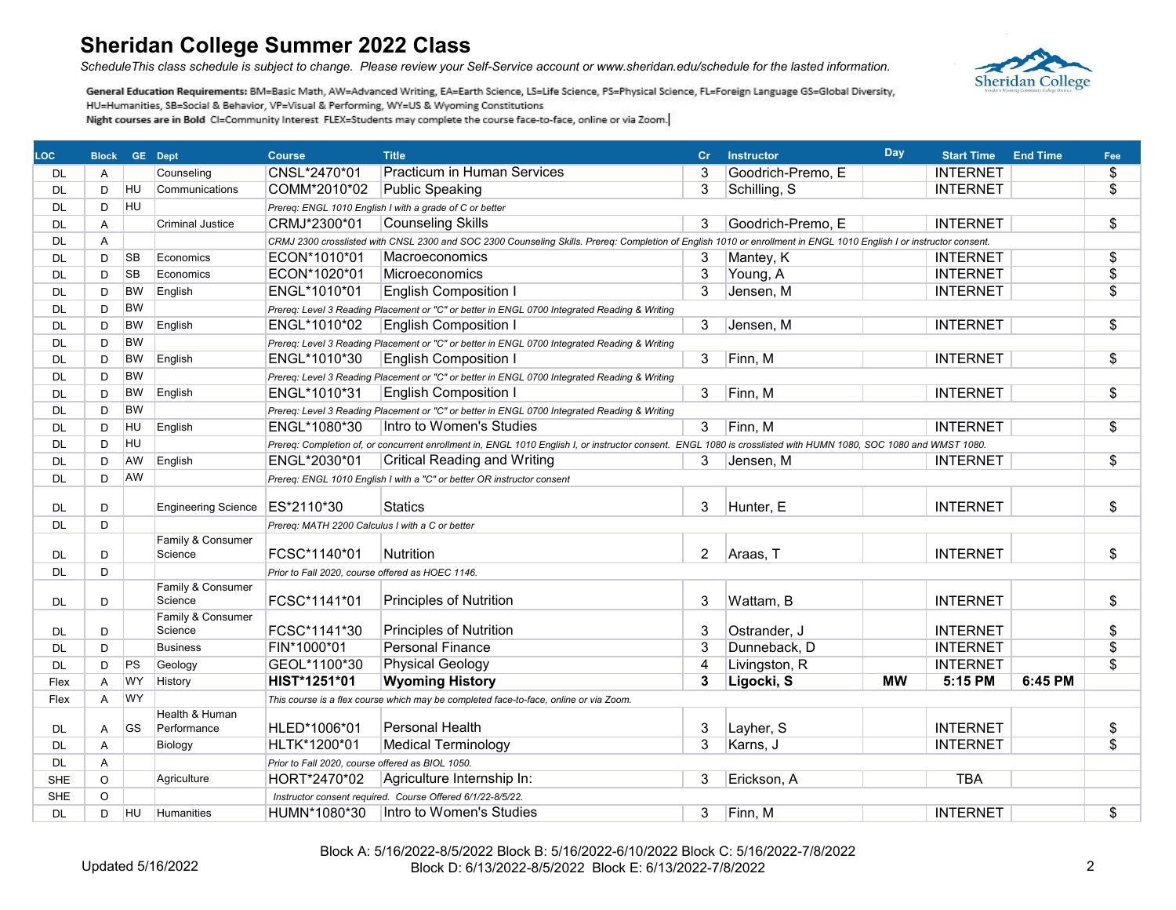*ScheduleThis class schedule is subject to change. Please review your Self-Service account or www.sheridan.edu/schedule for the lasted information.*



| LOC.       |         | <b>Block GE Dept</b> |                              | <b>Course</b>                                    | <b>Title</b>                                                                                                                                                        | cr             | <b>Instructor</b> | Day       | <b>Start Time</b> | <b>End Time</b> | Fee                       |
|------------|---------|----------------------|------------------------------|--------------------------------------------------|---------------------------------------------------------------------------------------------------------------------------------------------------------------------|----------------|-------------------|-----------|-------------------|-----------------|---------------------------|
| <b>DL</b>  | A       |                      | Counseling                   | CNSL*2470*01                                     | <b>Practicum in Human Services</b>                                                                                                                                  | 3              | Goodrich-Premo, E |           | <b>INTERNET</b>   |                 | \$                        |
| <b>DL</b>  | D       | <b>HU</b>            | Communications               | COMM*2010*02                                     | <b>Public Speaking</b>                                                                                                                                              | 3              | Schilling, S      |           | <b>INTERNET</b>   |                 | $\overline{\mathbb{S}}$   |
| DL         | D       | <b>HU</b>            |                              |                                                  | Prereq: ENGL 1010 English I with a grade of C or better                                                                                                             |                |                   |           |                   |                 |                           |
| <b>DL</b>  | A       |                      | <b>Criminal Justice</b>      | CRMJ*2300*01                                     | <b>Counseling Skills</b>                                                                                                                                            | 3              | Goodrich-Premo, E |           | <b>INTERNET</b>   |                 | \$                        |
| DL         | A       |                      |                              |                                                  | CRMJ 2300 crosslisted with CNSL 2300 and SOC 2300 Counseling Skills. Prereq: Completion of English 1010 or enrollment in ENGL 1010 English I or instructor consent. |                |                   |           |                   |                 |                           |
| <b>DL</b>  | D       | <b>SB</b>            | Economics                    | ECON*1010*01                                     | Macroeconomics                                                                                                                                                      | 3              | Mantey, K         |           | <b>INTERNET</b>   |                 | \$                        |
| DL         | D       | <b>SB</b>            | Economics                    | ECON*1020*01                                     | Microeconomics                                                                                                                                                      | 3              | Young, A          |           | <b>INTERNET</b>   |                 | \$                        |
| DL         | D       | <b>BW</b>            | English                      | ENGL*1010*01                                     | <b>English Composition I</b>                                                                                                                                        | 3              | Jensen, M         |           | <b>INTERNET</b>   |                 | \$                        |
| <b>DL</b>  | D       | <b>BW</b>            |                              |                                                  | Prereq: Level 3 Reading Placement or "C" or better in ENGL 0700 Integrated Reading & Writing                                                                        |                |                   |           |                   |                 |                           |
| DL         | D       | <b>BW</b>            | English                      | ENGL*1010*02                                     | <b>English Composition I</b>                                                                                                                                        | 3              | Jensen, M         |           | <b>INTERNET</b>   |                 | $\overline{\$}$           |
| <b>DL</b>  | D       | <b>BW</b>            |                              |                                                  | Prereq: Level 3 Reading Placement or "C" or better in ENGL 0700 Integrated Reading & Writing                                                                        |                |                   |           |                   |                 |                           |
| <b>DL</b>  | D       | <b>BW</b>            | English                      | ENGL*1010*30                                     | <b>English Composition I</b>                                                                                                                                        | 3              | Finn, M           |           | <b>INTERNET</b>   |                 | \$                        |
| <b>DL</b>  | D       | <b>BW</b>            |                              |                                                  | Prereq: Level 3 Reading Placement or "C" or better in ENGL 0700 Integrated Reading & Writing                                                                        |                |                   |           |                   |                 |                           |
| DL         | D       | <b>BW</b>            | English                      | ENGL*1010*31                                     | <b>English Composition I</b>                                                                                                                                        | 3              | Finn, M           |           | <b>INTERNET</b>   |                 | $\overline{\mathfrak{s}}$ |
| DL.        | D       | <b>BW</b>            |                              |                                                  | Prereq: Level 3 Reading Placement or "C" or better in ENGL 0700 Integrated Reading & Writing                                                                        |                |                   |           |                   |                 |                           |
| DL.        | D       | HU                   | English                      | ENGL*1080*30                                     | Intro to Women's Studies                                                                                                                                            | 3              | Finn, M           |           | <b>INTERNET</b>   |                 | \$                        |
| <b>DL</b>  | D       | <b>HU</b>            |                              |                                                  | Prereg: Completion of, or concurrent enrollment in, ENGL 1010 English I, or instructor consent. ENGL 1080 is crosslisted with HUMN 1080, SOC 1080 and WMST 1080.    |                |                   |           |                   |                 |                           |
| <b>DL</b>  | D       | AW                   | English                      | ENGL*2030*01                                     | <b>Critical Reading and Writing</b>                                                                                                                                 | 3              | Jensen, M         |           | <b>INTERNET</b>   |                 | \$                        |
| DL         | D       | AW                   |                              |                                                  | Prereq: ENGL 1010 English I with a "C" or better OR instructor consent                                                                                              |                |                   |           |                   |                 |                           |
| <b>DL</b>  | D       |                      | <b>Engineering Science</b>   | ES*2110*30                                       | <b>Statics</b>                                                                                                                                                      | 3              | Hunter, E         |           | <b>INTERNET</b>   |                 | \$                        |
| <b>DL</b>  | D       |                      |                              | Prereq: MATH 2200 Calculus I with a C or better  |                                                                                                                                                                     |                |                   |           |                   |                 |                           |
| DL.        | D       |                      | Family & Consumer<br>Science | FCSC*1140*01                                     | Nutrition                                                                                                                                                           | 2              | Araas, T          |           | <b>INTERNET</b>   |                 | \$                        |
| <b>DL</b>  | D       |                      |                              | Prior to Fall 2020, course offered as HOEC 1146. |                                                                                                                                                                     |                |                   |           |                   |                 |                           |
|            |         |                      | Family & Consumer            |                                                  |                                                                                                                                                                     |                |                   |           |                   |                 |                           |
| DL         | D       |                      | Science                      | FCSC*1141*01                                     | <b>Principles of Nutrition</b>                                                                                                                                      | 3              | Wattam, B         |           | <b>INTERNET</b>   |                 | \$                        |
|            |         |                      | Family & Consumer            |                                                  |                                                                                                                                                                     |                |                   |           |                   |                 |                           |
| DL         | D       |                      | Science<br><b>Business</b>   | FCSC*1141*30                                     | <b>Principles of Nutrition</b><br><b>Personal Finance</b>                                                                                                           | 3<br>3         | Ostrander, J      |           | <b>INTERNET</b>   |                 | \$                        |
| DL         | D       |                      |                              | FIN*1000*01                                      |                                                                                                                                                                     | $\overline{4}$ | Dunneback, D      |           | <b>INTERNET</b>   |                 | \$                        |
| DL         | D       | PS                   | Geology                      | GEOL*1100*30                                     | <b>Physical Geology</b>                                                                                                                                             |                | Livingston, R     |           | <b>INTERNET</b>   |                 | \$                        |
| Flex       | A       | WY                   | History                      | HIST*1251*01                                     | <b>Wyoming History</b>                                                                                                                                              | 3              | Ligocki, S        | <b>MW</b> | 5:15 PM           | 6:45 PM         |                           |
| Flex       | A       | <b>WY</b>            | Health & Human               |                                                  | This course is a flex course which may be completed face-to-face, online or via Zoom.                                                                               |                |                   |           |                   |                 |                           |
| <b>DL</b>  | A       | <b>GS</b>            | Performance                  | HLED*1006*01                                     | Personal Health                                                                                                                                                     | 3              | Layher, S         |           | <b>INTERNET</b>   |                 | $\pmb{\$}$                |
| <b>DL</b>  | A       |                      | Biology                      | HLTK*1200*01                                     | Medical Terminology                                                                                                                                                 | 3              | Karns, J          |           | <b>INTERNET</b>   |                 | $\overline{\mathcal{L}}$  |
| <b>DL</b>  | A       |                      |                              | Prior to Fall 2020, course offered as BIOL 1050. |                                                                                                                                                                     |                |                   |           |                   |                 |                           |
| <b>SHE</b> | $\circ$ |                      | Agriculture                  | HORT*2470*02                                     | Agriculture Internship In:                                                                                                                                          | 3              | Erickson, A       |           | <b>TBA</b>        |                 |                           |
| <b>SHE</b> | $\circ$ |                      |                              |                                                  | Instructor consent required. Course Offered 6/1/22-8/5/22.                                                                                                          |                |                   |           |                   |                 |                           |
| <b>DL</b>  | D       | <b>HU</b>            | Humanities                   | HUMN*1080*30                                     | Intro to Women's Studies                                                                                                                                            | 3              | Finn, M           |           | <b>INTERNET</b>   |                 | \$                        |
|            |         |                      |                              |                                                  |                                                                                                                                                                     |                |                   |           |                   |                 |                           |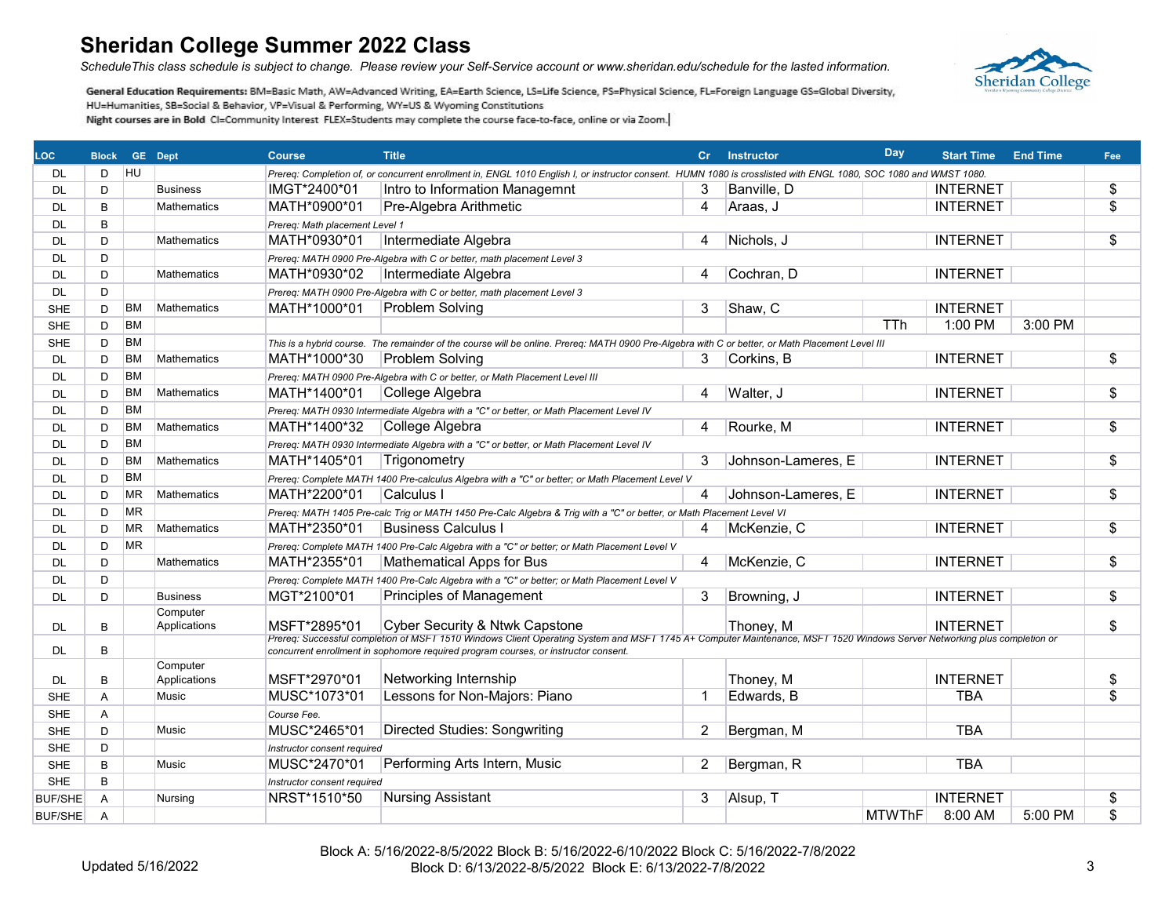*ScheduleThis class schedule is subject to change. Please review your Self-Service account or www.sheridan.edu/schedule for the lasted information.*



| LOC.           | <b>Block</b> |           | <b>GE</b> Dept           | <b>Course</b>                               | <b>Title</b>                                                                                                                                                             | Cr.            | <b>Instructor</b>  | Day           | <b>Start Time</b> | <b>End Time</b> | Fee                      |
|----------------|--------------|-----------|--------------------------|---------------------------------------------|--------------------------------------------------------------------------------------------------------------------------------------------------------------------------|----------------|--------------------|---------------|-------------------|-----------------|--------------------------|
| DL             | D            | <b>HU</b> |                          |                                             | Prereq: Completion of, or concurrent enrollment in, ENGL 1010 English I, or instructor consent. HUMN 1080 is crosslisted with ENGL 1080, SOC 1080 and WMST 1080.         |                |                    |               |                   |                 |                          |
| DL             | D            |           | <b>Business</b>          | IMGT*2400*01                                | Intro to Information Managemnt                                                                                                                                           | 3              | Banville, D        |               | <b>INTERNET</b>   |                 | \$                       |
| <b>DL</b>      | B            |           | Mathematics              | MATH*0900*01                                | Pre-Algebra Arithmetic                                                                                                                                                   | 4              | Araas, J           |               | <b>INTERNET</b>   |                 | $\overline{\mathcal{S}}$ |
| DL             | B            |           |                          | Prereq: Math placement Level 1              |                                                                                                                                                                          |                |                    |               |                   |                 |                          |
| DL             | D            |           | <b>Mathematics</b>       | MATH*0930*01                                | Intermediate Algebra                                                                                                                                                     | 4              | Nichols, J         |               | <b>INTERNET</b>   |                 | \$                       |
| DL             | D            |           |                          |                                             | Prereq: MATH 0900 Pre-Algebra with C or better, math placement Level 3                                                                                                   |                |                    |               |                   |                 |                          |
| DL             | D            |           | <b>Mathematics</b>       | MATH*0930*02                                | Intermediate Algebra                                                                                                                                                     | 4              | Cochran, D         |               | <b>INTERNET</b>   |                 |                          |
| <b>DL</b>      | D            |           |                          |                                             | Prereq: MATH 0900 Pre-Algebra with C or better, math placement Level 3                                                                                                   |                |                    |               |                   |                 |                          |
| <b>SHE</b>     | D            | <b>BM</b> | <b>Mathematics</b>       | MATH*1000*01                                | <b>Problem Solving</b>                                                                                                                                                   | 3              | Shaw, C            |               | <b>INTERNET</b>   |                 |                          |
| <b>SHE</b>     | D            | <b>BM</b> |                          |                                             |                                                                                                                                                                          |                |                    | TTh           | 1:00 PM           | 3:00 PM         |                          |
| <b>SHE</b>     | D            | <b>BM</b> |                          |                                             | This is a hybrid course. The remainder of the course will be online. Prereq: MATH 0900 Pre-Algebra with C or better, or Math Placement Level III                         |                |                    |               |                   |                 |                          |
| DL             | D            | <b>BM</b> | <b>Mathematics</b>       | MATH*1000*30                                | <b>Problem Solving</b>                                                                                                                                                   | 3              | Corkins, B         |               | <b>INTERNET</b>   |                 | $\overline{\$}$          |
| DL             | D            | <b>BM</b> |                          |                                             | Prereq: MATH 0900 Pre-Algebra with C or better, or Math Placement Level III                                                                                              |                |                    |               |                   |                 |                          |
| DL             | D            | BM        | Mathematics              | MATH*1400*01                                | College Algebra                                                                                                                                                          | 4              | Walter, J          |               | <b>INTERNET</b>   |                 | $\overline{\$}$          |
| DL             | D            | <b>BM</b> |                          |                                             | Prereq: MATH 0930 Intermediate Algebra with a "C" or better, or Math Placement Level IV                                                                                  |                |                    |               |                   |                 |                          |
| DL             | D            | <b>BM</b> | <b>Mathematics</b>       | MATH*1400*32                                | College Algebra                                                                                                                                                          | 4              | Rourke, M          |               | <b>INTERNET</b>   |                 | \$                       |
| DL             | D            | <b>BM</b> |                          |                                             | Prereq: MATH 0930 Intermediate Algebra with a "C" or better, or Math Placement Level IV                                                                                  |                |                    |               |                   |                 |                          |
| DL             | D            | BM        | <b>Mathematics</b>       | MATH*1405*01                                | Trigonometry                                                                                                                                                             | 3              | Johnson-Lameres, E |               | <b>INTERNET</b>   |                 | $\overline{\$}$          |
| DL             | D            | <b>BM</b> |                          |                                             | Prereq: Complete MATH 1400 Pre-calculus Algebra with a "C" or better; or Math Placement Level V                                                                          |                |                    |               |                   |                 |                          |
| DL             | D            | <b>MR</b> | <b>Mathematics</b>       | MATH*2200*01                                | Calculus I                                                                                                                                                               | 4              | Johnson-Lameres, E |               | <b>INTERNET</b>   |                 | \$                       |
| DL             | D            | <b>MR</b> |                          |                                             | Prereq: MATH 1405 Pre-calc Trig or MATH 1450 Pre-Calc Algebra & Trig with a "C" or better, or Math Placement Level VI                                                    |                |                    |               |                   |                 |                          |
| DL             | D            | <b>MR</b> | <b>Mathematics</b>       | MATH*2350*01                                | <b>Business Calculus</b>                                                                                                                                                 | 4              | McKenzie, C        |               | <b>INTERNET</b>   |                 | $\overline{\$}$          |
| DL             | D            | <b>MR</b> |                          |                                             | Prereq: Complete MATH 1400 Pre-Calc Algebra with a "C" or better; or Math Placement Level V                                                                              |                |                    |               |                   |                 |                          |
| <b>DL</b>      | D            |           | <b>Mathematics</b>       | MATH*2355*01                                | <b>Mathematical Apps for Bus</b>                                                                                                                                         | 4              | McKenzie, C        |               | <b>INTERNET</b>   |                 | $\overline{\$}$          |
| DL             | D            |           |                          |                                             | Prereq: Complete MATH 1400 Pre-Calc Algebra with a "C" or better; or Math Placement Level V                                                                              |                |                    |               |                   |                 |                          |
| DL             | D            |           | <b>Business</b>          | MGT*2100*01                                 | Principles of Management                                                                                                                                                 | 3              | Browning, J        |               | <b>INTERNET</b>   |                 | \$                       |
|                |              |           | Computer                 |                                             |                                                                                                                                                                          |                |                    |               |                   |                 |                          |
| <b>DL</b>      | B            |           | Applications             | MSFT*2895*01                                | Cyber Security & Ntwk Capstone                                                                                                                                           |                | Thoney, M          |               | <b>INTERNET</b>   |                 | \$                       |
|                |              |           |                          |                                             | Prereq: Successful completion of MSFT 1510 Windows Client Operating System and MSFT 1745 A+ Computer Maintenance, MSFT 1520 Windows Server Networking plus completion or |                |                    |               |                   |                 |                          |
| DL             | B            |           |                          |                                             | concurrent enrollment in sophomore required program courses, or instructor consent.                                                                                      |                |                    |               |                   |                 |                          |
| DL             | B            |           | Computer<br>Applications | MSFT*2970*01                                | Networking Internship                                                                                                                                                    |                | Thoney, M          |               | <b>INTERNET</b>   |                 | \$                       |
| <b>SHE</b>     | A            |           | Music                    | MUSC*1073*01                                | Lessons for Non-Majors: Piano                                                                                                                                            | $\overline{1}$ | Edwards, B         |               | <b>TBA</b>        |                 | $\overline{\mathcal{S}}$ |
| <b>SHE</b>     | Α            |           |                          | Course Fee.                                 |                                                                                                                                                                          |                |                    |               |                   |                 |                          |
| <b>SHE</b>     | D            |           | Music                    | MUSC*2465*01                                | <b>Directed Studies: Songwriting</b>                                                                                                                                     | 2              | Bergman, M         |               | <b>TBA</b>        |                 |                          |
| <b>SHE</b>     | D            |           |                          |                                             |                                                                                                                                                                          |                |                    |               |                   |                 |                          |
|                |              |           |                          | Instructor consent required<br>MUSC*2470*01 |                                                                                                                                                                          |                |                    |               | <b>TBA</b>        |                 |                          |
| <b>SHE</b>     | B            |           | Music                    |                                             | Performing Arts Intern, Music                                                                                                                                            | $\overline{c}$ | Bergman, R         |               |                   |                 |                          |
| <b>SHE</b>     | B            |           |                          | Instructor consent required                 |                                                                                                                                                                          |                |                    |               |                   |                 |                          |
| <b>BUF/SHE</b> | A            |           | Nursing                  | NRST*1510*50                                | <b>Nursing Assistant</b>                                                                                                                                                 | 3              | Alsup, T           |               | <b>INTERNET</b>   |                 | \$                       |
| <b>BUF/SHE</b> | A            |           |                          |                                             |                                                                                                                                                                          |                |                    | <b>MTWThF</b> | 8:00 AM           | 5:00 PM         | \$                       |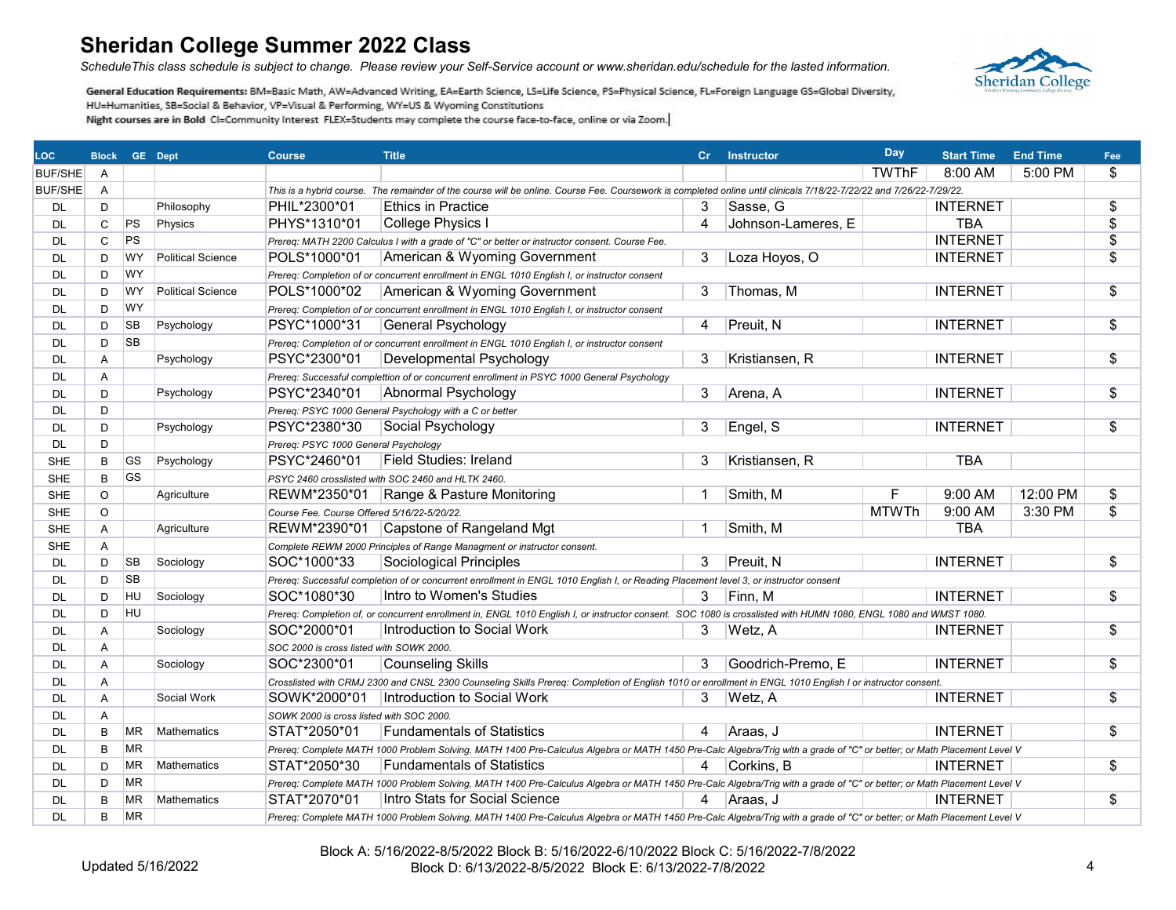*ScheduleThis class schedule is subject to change. Please review your Self-Service account or www.sheridan.edu/schedule for the lasted information.*



| <b>LOC</b>     | <b>Block GE Dept</b> |           |                          | <b>Course</b>                               | <b>Title</b>                                                                                                                                                           |    | Cr Instructor      | Day          | <b>Start Time</b> | <b>End Time</b> | Fee                      |
|----------------|----------------------|-----------|--------------------------|---------------------------------------------|------------------------------------------------------------------------------------------------------------------------------------------------------------------------|----|--------------------|--------------|-------------------|-----------------|--------------------------|
| <b>BUF/SHE</b> | A                    |           |                          |                                             |                                                                                                                                                                        |    |                    | <b>TWThF</b> | 8:00 AM           | 5:00 PM         | \$                       |
| BUF/SHE        | A                    |           |                          |                                             | This is a hybrid course. The remainder of the course will be online. Course Fee. Coursework is completed online until clinicals 7/18/22-7/22/22 and 7/26/22-7/29/22.   |    |                    |              |                   |                 |                          |
| DL             | D                    |           | Philosophy               | PHIL*2300*01                                | <b>Ethics in Practice</b>                                                                                                                                              | 3  | Sasse, G           |              | <b>INTERNET</b>   |                 | \$                       |
| <b>DL</b>      | C                    | PS        | Physics                  | PHYS*1310*01                                | College Physics I                                                                                                                                                      | 4  | Johnson-Lameres, E |              | <b>TBA</b>        |                 | \$                       |
| <b>DL</b>      | $\mathsf{C}$         | <b>PS</b> |                          |                                             | Prereq: MATH 2200 Calculus I with a grade of "C" or better or instructor consent. Course Fee.                                                                          |    |                    |              | <b>INTERNET</b>   |                 | $\overline{\$}$          |
| <b>DL</b>      | D                    | <b>WY</b> | <b>Political Science</b> | POLS*1000*01                                | American & Wyoming Government                                                                                                                                          | 3  | Loza Hoyos, O      |              | <b>INTERNET</b>   |                 | \$                       |
| <b>DL</b>      | D                    | <b>WY</b> |                          |                                             | Prereq: Completion of or concurrent enrollment in ENGL 1010 English I, or instructor consent                                                                           |    |                    |              |                   |                 |                          |
| DL             | D                    | <b>WY</b> | <b>Political Science</b> | POLS*1000*02                                | American & Wyoming Government                                                                                                                                          | 3  | Thomas, M          |              | <b>INTERNET</b>   |                 | \$                       |
| <b>DL</b>      | D                    | WY        |                          |                                             | Prereq: Completion of or concurrent enrollment in ENGL 1010 English I, or instructor consent                                                                           |    |                    |              |                   |                 |                          |
| DL             | D                    | <b>SB</b> | Psychology               | PSYC*1000*31                                | <b>General Psychology</b>                                                                                                                                              | 4  | Preuit, N          |              | <b>INTERNET</b>   |                 | $\overline{\$}$          |
| <b>DL</b>      | D                    | <b>SB</b> |                          |                                             | Prereq: Completion of or concurrent enrollment in ENGL 1010 English I, or instructor consent                                                                           |    |                    |              |                   |                 |                          |
| <b>DL</b>      | Α                    |           | Psychology               | PSYC*2300*01                                | Developmental Psychology                                                                                                                                               | 3  | Kristiansen, R     |              | <b>INTERNET</b>   |                 | $\overline{\$}$          |
| <b>DL</b>      | A                    |           |                          |                                             | Prereg: Successful complettion of or concurrent enrollment in PSYC 1000 General Psychology                                                                             |    |                    |              |                   |                 |                          |
| <b>DL</b>      | D                    |           | Psychology               | PSYC*2340*01                                | Abnormal Psychology                                                                                                                                                    | 3  | Arena, A           |              | <b>INTERNET</b>   |                 | \$                       |
| <b>DL</b>      | D                    |           |                          |                                             | Prereq: PSYC 1000 General Psychology with a C or better                                                                                                                |    |                    |              |                   |                 |                          |
| <b>DL</b>      | D                    |           | Psychology               | PSYC*2380*30                                | Social Psychology                                                                                                                                                      | 3  | Engel, S           |              | <b>INTERNET</b>   |                 | \$                       |
| <b>DL</b>      | D                    |           |                          | Prereq: PSYC 1000 General Psychology        |                                                                                                                                                                        |    |                    |              |                   |                 |                          |
| <b>SHE</b>     | B                    | GS        | Psychology               | PSYC*2460*01                                | Field Studies: Ireland                                                                                                                                                 | 3  | Kristiansen, R     |              | <b>TBA</b>        |                 |                          |
| <b>SHE</b>     | B                    | <b>GS</b> |                          |                                             | PSYC 2460 crosslisted with SOC 2460 and HLTK 2460.                                                                                                                     |    |                    |              |                   |                 |                          |
| <b>SHE</b>     | O                    |           | Agriculture              |                                             | REWM*2350*01 Range & Pasture Monitoring                                                                                                                                | -1 | Smith, M           | F            | 9:00 AM           | 12:00 PM        | $\overline{\$}$          |
| <b>SHE</b>     | $\circ$              |           |                          | Course Fee. Course Offered 5/16/22-5/20/22. |                                                                                                                                                                        |    |                    | <b>MTWTh</b> | 9:00 AM           | 3:30 PM         | $\overline{\mathcal{S}}$ |
| <b>SHE</b>     | A                    |           | Agriculture              |                                             | REWM*2390*01 Capstone of Rangeland Mgt                                                                                                                                 | -1 | Smith, M           |              | <b>TBA</b>        |                 |                          |
| <b>SHE</b>     | A                    |           |                          |                                             | Complete REWM 2000 Principles of Range Managment or instructor consent.                                                                                                |    |                    |              |                   |                 |                          |
| DL             | D                    | SB        | Sociology                | SOC*1000*33                                 | Sociological Principles                                                                                                                                                | 3  | Preuit, N          |              | <b>INTERNET</b>   |                 | $\overline{\$}$          |
| DL             | D                    | <b>SB</b> |                          |                                             | Prereq: Successful completion of or concurrent enrollment in ENGL 1010 English I, or Reading Placement level 3, or instructor consent                                  |    |                    |              |                   |                 |                          |
| <b>DL</b>      | D                    | HU        | Sociology                | SOC*1080*30                                 | Intro to Women's Studies                                                                                                                                               | 3  | Finn, M            |              | <b>INTERNET</b>   |                 | \$                       |
| DL             | D                    | <b>HU</b> |                          |                                             | Prereq: Completion of, or concurrent enrollment in, ENGL 1010 English I, or instructor consent. SOC 1080 is crosslisted with HUMN 1080, ENGL 1080 and WMST 1080.       |    |                    |              |                   |                 |                          |
| DL             | Α                    |           | Sociology                | SOC*2000*01                                 | Introduction to Social Work                                                                                                                                            | 3  | Wetz, A            |              | <b>INTERNET</b>   |                 | $\overline{\$}$          |
| <b>DL</b>      | A                    |           |                          | SOC 2000 is cross listed with SOWK 2000.    |                                                                                                                                                                        |    |                    |              |                   |                 |                          |
| <b>DL</b>      | A                    |           | Sociology                | SOC*2300*01                                 | Counseling Skills                                                                                                                                                      | 3  | Goodrich-Premo, E  |              | <b>INTERNET</b>   |                 | \$                       |
| <b>DL</b>      | Α                    |           |                          |                                             | Crosslisted with CRMJ 2300 and CNSL 2300 Counseling Skills Prereq: Completion of English 1010 or enrollment in ENGL 1010 English I or instructor consent.              |    |                    |              |                   |                 |                          |
| DL             | A                    |           | Social Work              | SOWK*2000*01                                | Introduction to Social Work                                                                                                                                            | 3  | Wetz, A            |              | <b>INTERNET</b>   |                 | \$                       |
| <b>DL</b>      | A                    |           |                          | SOWK 2000 is cross listed with SOC 2000.    |                                                                                                                                                                        |    |                    |              |                   |                 |                          |
| DL             | B                    | <b>MR</b> | <b>Mathematics</b>       | STAT*2050*01                                | <b>Fundamentals of Statistics</b>                                                                                                                                      | 4  | Araas, J           |              | <b>INTERNET</b>   |                 | $\overline{\mathcal{S}}$ |
| DL             | B                    | <b>MR</b> |                          |                                             | Prereq: Complete MATH 1000 Problem Solving, MATH 1400 Pre-Calculus Algebra or MATH 1450 Pre-Calc Algebra/Trig with a grade of "C" or better; or Math Placement Level V |    |                    |              |                   |                 |                          |
| <b>DL</b>      | D                    | ΜR        | <b>Mathematics</b>       | STAT*2050*30                                | <b>Fundamentals of Statistics</b>                                                                                                                                      | 4  | Corkins, B         |              | <b>INTERNET</b>   |                 | \$                       |
| DL             | D                    | <b>MR</b> |                          |                                             | Prereq: Complete MATH 1000 Problem Solving, MATH 1400 Pre-Calculus Algebra or MATH 1450 Pre-Calc Algebra/Trig with a grade of "C" or better; or Math Placement Level V |    |                    |              |                   |                 |                          |
| <b>DL</b>      | B                    | <b>MR</b> | Mathematics              | STAT*2070*01                                | Intro Stats for Social Science                                                                                                                                         | 4  | Araas, J           |              | <b>INTERNET</b>   |                 | $\overline{\$}$          |
| <b>DL</b>      | B                    | <b>MR</b> |                          |                                             | Prereq: Complete MATH 1000 Problem Solving, MATH 1400 Pre-Calculus Algebra or MATH 1450 Pre-Calc Algebra/Trig with a grade of "C" or better; or Math Placement Level V |    |                    |              |                   |                 |                          |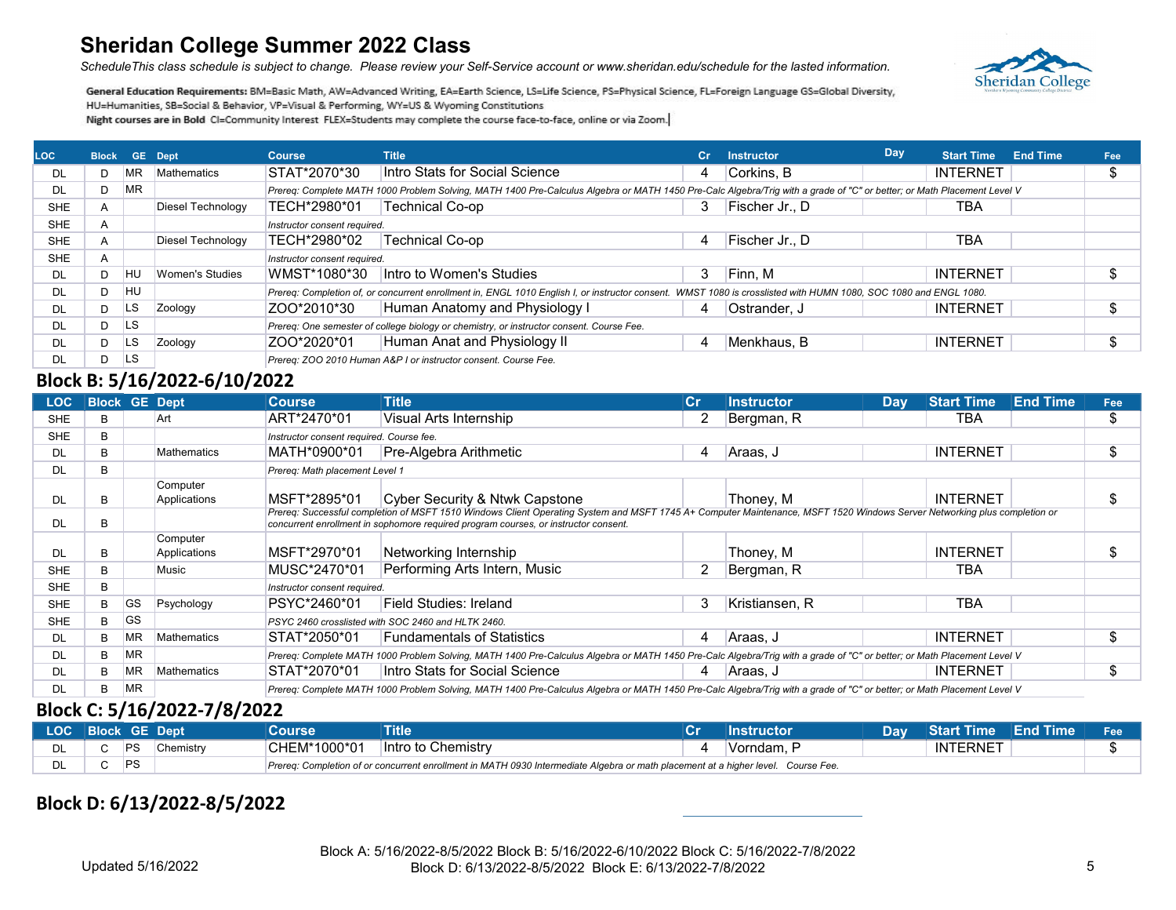*ScheduleThis class schedule is subject to change. Please review your Self-Service account or www.sheridan.edu/schedule for the lasted information.*



General Education Requirements: BM=Basic Math, AW=Advanced Writing, EA=Earth Science, LS=Life Science, PS=Physical Science, FL=Foreign Language GS=Global Diversity, HU=Humanities, SB=Social & Behavior, VP=Visual & Performing, WY=US & Wyoming Constitutions Night courses are in Bold CI=Community Interest FLEX=Students may complete the course face-to-face, online or via Zoom.

| <b>LOC</b> | <b>Block</b> |           | <b>GE</b> Dept    | <b>Course</b>                | Title                                                                                                                                                                  | Cr. | <b>Instructor</b> | Day | <b>Start Time</b> | <b>End Time</b> | Fee |
|------------|--------------|-----------|-------------------|------------------------------|------------------------------------------------------------------------------------------------------------------------------------------------------------------------|-----|-------------------|-----|-------------------|-----------------|-----|
| DL         |              | MR.       | Mathematics       | STAT*2070*30                 | Intro Stats for Social Science                                                                                                                                         | 4   | Corkins, B        |     | <b>INTERNET</b>   |                 |     |
| DL         |              | MR.       |                   |                              | Prereq: Complete MATH 1000 Problem Solving, MATH 1400 Pre-Calculus Algebra or MATH 1450 Pre-Calc Algebra/Trig with a grade of "C" or better; or Math Placement Level V |     |                   |     |                   |                 |     |
| <b>SHE</b> |              |           | Diesel Technology | TECH*2980*01                 | Technical Co-op                                                                                                                                                        |     | Fischer Jr., D    |     | TBA               |                 |     |
| <b>SHE</b> | A            |           |                   | Instructor consent required. |                                                                                                                                                                        |     |                   |     |                   |                 |     |
| <b>SHE</b> |              |           | Diesel Technology | TECH*2980*02                 | Technical Co-op                                                                                                                                                        | 4   | Fischer Jr., D    |     | <b>TBA</b>        |                 |     |
| <b>SHE</b> |              |           |                   | Instructor consent required. |                                                                                                                                                                        |     |                   |     |                   |                 |     |
| DL         |              | HU        | Women's Studies   | WMST*1080*30                 | Intro to Women's Studies                                                                                                                                               | 3   | Finn, M           |     | <b>INTERNET</b>   |                 |     |
| DL         |              | <b>HU</b> |                   |                              | Prereg: Completion of, or concurrent enrollment in, ENGL 1010 English I, or instructor consent. WMST 1080 is crosslisted with HUMN 1080, SOC 1080 and ENGL 1080.       |     |                   |     |                   |                 |     |
| DL         |              | LS        | Zoology           | IZOO*2010*30                 | Human Anatomy and Physiology I                                                                                                                                         | 4   | Ostrander, J      |     | <b>INTERNET</b>   |                 |     |
| DL         |              | <b>LS</b> |                   |                              | Prereq: One semester of college biology or chemistry, or instructor consent. Course Fee.                                                                               |     |                   |     |                   |                 |     |
| DL         |              | <b>LS</b> | Zoology           | ZOO*2020*01                  | Human Anat and Physiology II                                                                                                                                           | 4   | Menkhaus, B       |     | <b>INTERNET</b>   |                 |     |
| DL         |              | <b>LS</b> |                   |                              | Prereg: ZOO 2010 Human A&P I or instructor consent. Course Fee.                                                                                                        |     |                   |     |                   |                 |     |

### **Block B: 5/16/2022-6/10/2022**

| <b>LOC</b> | <b>Block GE Dept</b> |           |                          | <b>Course</b>                            | <b>Title</b>                                                                                                                                                                                                                                                    | ∣Cr | <b>Instructor</b> | <b>Day</b> | <b>Start Time</b> | <b>End Time</b> | Fee |
|------------|----------------------|-----------|--------------------------|------------------------------------------|-----------------------------------------------------------------------------------------------------------------------------------------------------------------------------------------------------------------------------------------------------------------|-----|-------------------|------------|-------------------|-----------------|-----|
| <b>SHE</b> | в                    |           | Art                      | ART*2470*01                              | Visual Arts Internship                                                                                                                                                                                                                                          | 2   | Bergman, R        |            | TBA               |                 | \$  |
| <b>SHE</b> | B                    |           |                          | Instructor consent required. Course fee. |                                                                                                                                                                                                                                                                 |     |                   |            |                   |                 |     |
| DL         | B.                   |           | <b>Mathematics</b>       | MATH*0900*01                             | Pre-Algebra Arithmetic                                                                                                                                                                                                                                          | 4   | ∣Araas. J         |            | <b>INTERNET</b>   |                 | \$  |
| DL         | R.                   |           |                          | Prereg: Math placement Level 1           |                                                                                                                                                                                                                                                                 |     |                   |            |                   |                 |     |
| DL         | B                    |           | Computer<br>Applications | MSFT*2895*01                             | Cyber Security & Ntwk Capstone                                                                                                                                                                                                                                  |     | Thoney, M         |            | <b>INTERNET</b>   |                 | ъ.  |
| DL         | в                    |           |                          |                                          | Prereq: Successful completion of MSFT 1510 Windows Client Operating System and MSFT 1745 A+ Computer Maintenance, MSFT 1520 Windows Server Networking plus completion or<br>concurrent enrollment in sophomore required program courses, or instructor consent. |     |                   |            |                   |                 |     |
| DL         | в                    |           | Computer<br>Applications | MSFT*2970*01                             | Networking Internship                                                                                                                                                                                                                                           |     | Thoney, M         |            | <b>INTERNET</b>   |                 |     |
| <b>SHE</b> |                      |           | <b>Music</b>             | MUSC*2470*01                             | Performing Arts Intern, Music                                                                                                                                                                                                                                   | 2   | Bergman, R        |            | TBA               |                 |     |
| <b>SHE</b> | В                    |           |                          | Instructor consent required.             |                                                                                                                                                                                                                                                                 |     |                   |            |                   |                 |     |
| <b>SHE</b> | в.                   | <b>GS</b> | Psychology               | PSYC*2460*01                             | Field Studies: Ireland                                                                                                                                                                                                                                          | 3   | Kristiansen. R    |            | <b>TBA</b>        |                 |     |
| <b>SHE</b> | В                    | <b>GS</b> |                          |                                          | PSYC 2460 crosslisted with SOC 2460 and HLTK 2460.                                                                                                                                                                                                              |     |                   |            |                   |                 |     |
| DL         | B.                   | ΜR        | Mathematics              | STAT*2050*01                             | <b>Fundamentals of Statistics</b>                                                                                                                                                                                                                               | 4   | Araas, J          |            | <b>INTERNET</b>   |                 | \$  |
| DL         | В                    | MR.       |                          |                                          | Prereq: Complete MATH 1000 Problem Solving, MATH 1400 Pre-Calculus Algebra or MATH 1450 Pre-Calc Algebra/Trig with a grade of "C" or better; or Math Placement Level V                                                                                          |     |                   |            |                   |                 |     |
| DL         | B.                   | <b>MR</b> | Mathematics              | STAT*2070*01                             | Intro Stats for Social Science                                                                                                                                                                                                                                  | 4   | Araas, J          |            | <b>INTERNET</b>   |                 | ъ.  |
| DL.        | в.                   | <b>MR</b> |                          |                                          | Prereg: Complete MATH 1000 Problem Solving, MATH 1400 Pre-Calculus Algebra or MATH 1450 Pre-Calc Algebra/Trig with a grade of "C" or better; or Math Placement Level V                                                                                          |     |                   |            |                   |                 |     |

#### **Block C: 5/16/2022-7/8/2022**

|    | LOC Block GE Dept       | Course        | <b>Title</b>                                                                                                                      | Instructor | Dav <sup>1</sup> | <b>Start Time End Time</b> | Fee |
|----|-------------------------|---------------|-----------------------------------------------------------------------------------------------------------------------------------|------------|------------------|----------------------------|-----|
| DL | <b>IPS</b><br>Chemistry | CHEM*1000*01_ | Intro to Chemistry                                                                                                                | ⊺Vorndam.  |                  | <b>INTERNET</b>            |     |
| DL |                         |               | Prereg: Completion of or concurrent enrollment in MATH 0930 Intermediate Algebra or math placement at a higher level. Course Fee. |            |                  |                            |     |

#### **Block D: 6/13/2022-8/5/2022**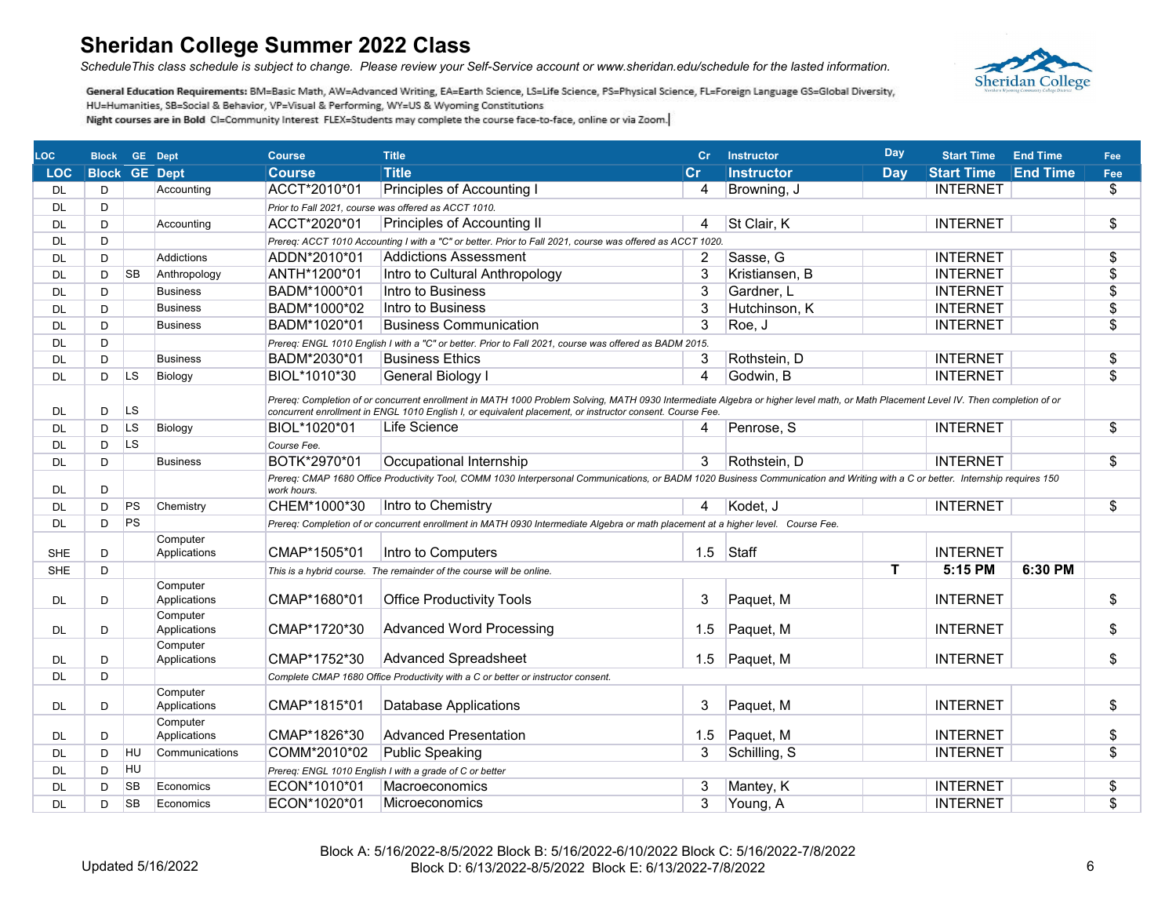*ScheduleThis class schedule is subject to change. Please review your Self-Service account or www.sheridan.edu/schedule for the lasted information.*



| <b>LOC</b> | <b>Block</b>         |           | <b>GE</b> Dept           | <b>Course</b> | <b>Title</b>                                                                                                                                                                                                                                                                                     | cr  | <b>Instructor</b> | <b>Day</b> | <b>Start Time</b> | <b>End Time</b> | Fee                      |
|------------|----------------------|-----------|--------------------------|---------------|--------------------------------------------------------------------------------------------------------------------------------------------------------------------------------------------------------------------------------------------------------------------------------------------------|-----|-------------------|------------|-------------------|-----------------|--------------------------|
| <b>LOC</b> | <b>Block GE Dept</b> |           |                          | <b>Course</b> | <b>Title</b>                                                                                                                                                                                                                                                                                     | cr  | <b>Instructor</b> | <b>Day</b> | <b>Start Time</b> | <b>End Time</b> | Fee                      |
| <b>DL</b>  | D                    |           | Accounting               | ACCT*2010*01  | Principles of Accounting I                                                                                                                                                                                                                                                                       | 4   | Browning, J       |            | <b>INTERNET</b>   |                 | \$                       |
| <b>DL</b>  | D                    |           |                          |               | Prior to Fall 2021, course was offered as ACCT 1010.                                                                                                                                                                                                                                             |     |                   |            |                   |                 |                          |
| <b>DL</b>  | D                    |           | Accounting               | ACCT*2020*01  | <b>Principles of Accounting II</b>                                                                                                                                                                                                                                                               | 4   | St Clair, K       |            | <b>INTERNET</b>   |                 | \$                       |
| <b>DL</b>  | D                    |           |                          |               | Prereq: ACCT 1010 Accounting I with a "C" or better. Prior to Fall 2021, course was offered as ACCT 1020.                                                                                                                                                                                        |     |                   |            |                   |                 |                          |
| <b>DL</b>  | D                    |           | Addictions               | ADDN*2010*01  | <b>Addictions Assessment</b>                                                                                                                                                                                                                                                                     | 2   | Sasse, G          |            | <b>INTERNET</b>   |                 | $\overline{\$}$          |
| <b>DL</b>  | D                    | <b>SB</b> | Anthropology             | ANTH*1200*01  | Intro to Cultural Anthropology                                                                                                                                                                                                                                                                   | 3   | Kristiansen, B    |            | <b>INTERNET</b>   |                 | \$                       |
| DL         | D                    |           | <b>Business</b>          | BADM*1000*01  | Intro to Business                                                                                                                                                                                                                                                                                | 3   | Gardner, L        |            | <b>INTERNET</b>   |                 | \$                       |
| <b>DL</b>  | D                    |           | <b>Business</b>          | BADM*1000*02  | Intro to Business                                                                                                                                                                                                                                                                                | 3   | Hutchinson, K     |            | <b>INTERNET</b>   |                 | \$                       |
| <b>DL</b>  | D                    |           | <b>Business</b>          | BADM*1020*01  | <b>Business Communication</b>                                                                                                                                                                                                                                                                    | 3   | Roe, J            |            | <b>INTERNET</b>   |                 | \$                       |
| <b>DL</b>  | D                    |           |                          |               | Prereq: ENGL 1010 English I with a "C" or better. Prior to Fall 2021, course was offered as BADM 2015.                                                                                                                                                                                           |     |                   |            |                   |                 |                          |
| <b>DL</b>  | D.                   |           | <b>Business</b>          | BADM*2030*01  | <b>Business Ethics</b>                                                                                                                                                                                                                                                                           |     | Rothstein, D      |            | <b>INTERNET</b>   |                 | \$                       |
| <b>DL</b>  | D                    | <b>LS</b> | Biology                  | BIOL*1010*30  | <b>General Biology I</b>                                                                                                                                                                                                                                                                         | 4   | Godwin, B         |            | <b>INTERNET</b>   |                 | $\overline{\mathcal{S}}$ |
| DL         | D                    | LS        |                          |               | Prereq: Completion of or concurrent enrollment in MATH 1000 Problem Solving, MATH 0930 Intermediate Algebra or higher level math, or Math Placement Level IV. Then completion of or<br>concurrent enrollment in ENGL 1010 English I, or equivalent placement, or instructor consent. Course Fee. |     |                   |            |                   |                 |                          |
| <b>DL</b>  | D                    | LS        | Biology                  | BIOL*1020*01  | Life Science                                                                                                                                                                                                                                                                                     | 4   | Penrose, S        |            | <b>INTERNET</b>   |                 | $\overline{\$}$          |
| <b>DL</b>  | D                    | <b>LS</b> |                          | Course Fee.   |                                                                                                                                                                                                                                                                                                  |     |                   |            |                   |                 |                          |
| <b>DL</b>  | D                    |           | <b>Business</b>          | BOTK*2970*01  | Occupational Internship                                                                                                                                                                                                                                                                          | 3   | Rothstein, D      |            | <b>INTERNET</b>   |                 | $\overline{\$}$          |
| DL         | D                    |           |                          | work hours.   | Prereq: CMAP 1680 Office Productivity Tool, COMM 1030 Interpersonal Communications, or BADM 1020 Business Communication and Writing with a C or better. Internship requires 150                                                                                                                  |     |                   |            |                   |                 |                          |
| <b>DL</b>  | D                    | PS        | Chemistry                | CHEM*1000*30  | Intro to Chemistry                                                                                                                                                                                                                                                                               | 4   | Kodet, J          |            | <b>INTERNET</b>   |                 | \$                       |
| <b>DL</b>  | D                    | PS        |                          |               | Prereg: Completion of or concurrent enrollment in MATH 0930 Intermediate Algebra or math placement at a higher level. Course Fee.                                                                                                                                                                |     |                   |            |                   |                 |                          |
| <b>SHE</b> | D                    |           | Computer<br>Applications | CMAP*1505*01  | Intro to Computers                                                                                                                                                                                                                                                                               | 1.5 | Staff             |            | <b>INTERNET</b>   |                 |                          |
| <b>SHE</b> | D                    |           |                          |               | This is a hybrid course. The remainder of the course will be online.                                                                                                                                                                                                                             |     |                   | т          | 5:15 PM           | 6:30 PM         |                          |
| DL         | D                    |           | Computer<br>Applications | CMAP*1680*01  | <b>Office Productivity Tools</b>                                                                                                                                                                                                                                                                 | 3   | Paquet, M         |            | <b>INTERNET</b>   |                 | \$                       |
| DL         | D                    |           | Computer<br>Applications | CMAP*1720*30  | <b>Advanced Word Processing</b>                                                                                                                                                                                                                                                                  | 1.5 | Paquet, M         |            | <b>INTERNET</b>   |                 | \$                       |
| DL         | D                    |           | Computer<br>Applications | CMAP*1752*30  | <b>Advanced Spreadsheet</b>                                                                                                                                                                                                                                                                      | 1.5 | Paquet, M         |            | <b>INTERNET</b>   |                 | \$                       |
| <b>DL</b>  | D                    |           |                          |               | Complete CMAP 1680 Office Productivity with a C or better or instructor consent.                                                                                                                                                                                                                 |     |                   |            |                   |                 |                          |
|            |                      |           | Computer                 |               |                                                                                                                                                                                                                                                                                                  |     |                   |            |                   |                 |                          |
| DL         | D                    |           | Applications             | CMAP*1815*01  | Database Applications                                                                                                                                                                                                                                                                            | 3   | Paquet, M         |            | <b>INTERNET</b>   |                 | \$                       |
| DL         | D                    |           | Computer<br>Applications | CMAP*1826*30  | <b>Advanced Presentation</b>                                                                                                                                                                                                                                                                     | 1.5 | Paquet, M         |            | <b>INTERNET</b>   |                 | \$                       |
| <b>DL</b>  | D                    | <b>HU</b> | Communications           | COMM*2010*02  | <b>Public Speaking</b>                                                                                                                                                                                                                                                                           | 3   | Schilling, S      |            | <b>INTERNET</b>   |                 | \$                       |
| <b>DL</b>  | D                    | HU        |                          |               | Prereq: ENGL 1010 English I with a grade of C or better                                                                                                                                                                                                                                          |     |                   |            |                   |                 |                          |
| <b>DL</b>  | D                    | <b>SB</b> | Economics                | ECON*1010*01  | Macroeconomics                                                                                                                                                                                                                                                                                   | 3   | Mantey, K         |            | <b>INTERNET</b>   |                 | \$                       |
| <b>DL</b>  | D                    | <b>SB</b> | Economics                | ECON*1020*01  | Microeconomics                                                                                                                                                                                                                                                                                   | 3   | Young, A          |            | <b>INTERNET</b>   |                 | \$                       |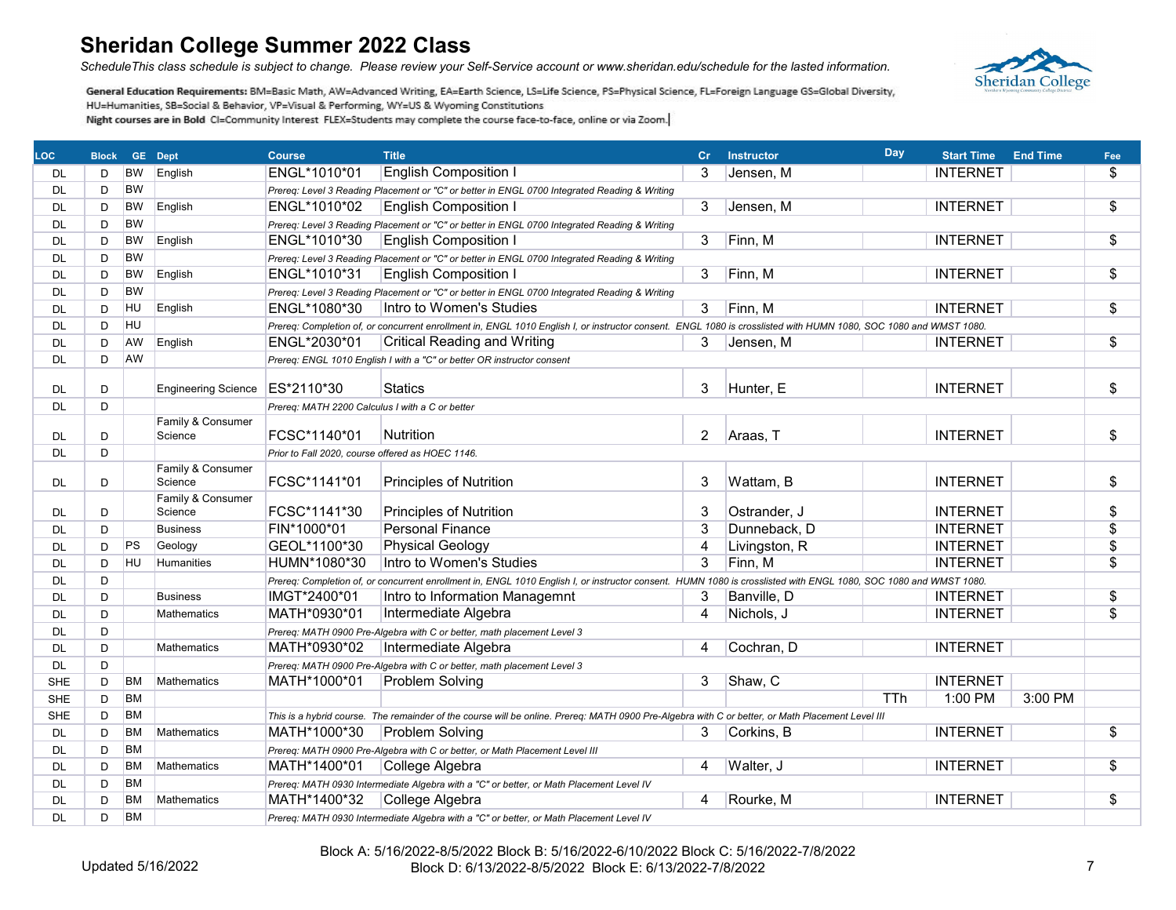*ScheduleThis class schedule is subject to change. Please review your Self-Service account or www.sheridan.edu/schedule for the lasted information.*



| LOC.       |   | <b>Block GE Dept</b> |                                | <b>Course</b>                                    | <b>Title</b>                                                                                                                                                     | Cr                     | <b>Instructor</b> | Day        | <b>Start Time End Time</b> |         | Fee             |
|------------|---|----------------------|--------------------------------|--------------------------------------------------|------------------------------------------------------------------------------------------------------------------------------------------------------------------|------------------------|-------------------|------------|----------------------------|---------|-----------------|
| DL.        | D | <b>BW</b>            | English                        | ENGL*1010*01                                     | <b>English Composition I</b>                                                                                                                                     | 3                      | Jensen, M         |            | <b>INTERNET</b>            |         | \$              |
| DL         | D | <b>BW</b>            |                                |                                                  | Prereq: Level 3 Reading Placement or "C" or better in ENGL 0700 Integrated Reading & Writing                                                                     |                        |                   |            |                            |         |                 |
| DL.        | D | <b>BW</b>            | English                        | ENGL*1010*02                                     | <b>English Composition I</b>                                                                                                                                     | 3                      | Jensen, M         |            | <b>INTERNET</b>            |         | \$              |
| <b>DL</b>  | D | <b>BW</b>            |                                |                                                  | Prereq: Level 3 Reading Placement or "C" or better in ENGL 0700 Integrated Reading & Writing                                                                     |                        |                   |            |                            |         |                 |
| <b>DL</b>  | D | <b>BW</b>            | English                        | ENGL*1010*30                                     | <b>English Composition I</b>                                                                                                                                     | 3                      | Finn, M           |            | <b>INTERNET</b>            |         | $\overline{\$}$ |
| <b>DL</b>  | D | <b>BW</b>            |                                |                                                  | Prereq: Level 3 Reading Placement or "C" or better in ENGL 0700 Integrated Reading & Writing                                                                     |                        |                   |            |                            |         |                 |
| DL         | D | <b>BW</b>            | English                        | ENGL*1010*31                                     | <b>English Composition I</b>                                                                                                                                     | 3                      | Finn, M           |            | <b>INTERNET</b>            |         | \$              |
| DL         | D | <b>BW</b>            |                                |                                                  | Prereq: Level 3 Reading Placement or "C" or better in ENGL 0700 Integrated Reading & Writing                                                                     |                        |                   |            |                            |         |                 |
| <b>DL</b>  | D | HU                   | English                        | ENGL*1080*30                                     | Intro to Women's Studies                                                                                                                                         | 3                      | Finn, M           |            | <b>INTERNET</b>            |         | \$              |
| DL.        | D | <b>HU</b>            |                                |                                                  | Prereq: Completion of, or concurrent enrollment in, ENGL 1010 English I, or instructor consent. ENGL 1080 is crosslisted with HUMN 1080, SOC 1080 and WMST 1080. |                        |                   |            |                            |         |                 |
| <b>DL</b>  | D | AW                   | English                        | ENGL*2030*01                                     | <b>Critical Reading and Writing</b>                                                                                                                              | 3                      | Jensen, M         |            | <b>INTERNET</b>            |         | \$              |
| <b>DL</b>  | D | AW                   |                                |                                                  | Prereq: ENGL 1010 English I with a "C" or better OR instructor consent                                                                                           |                        |                   |            |                            |         |                 |
|            |   |                      |                                |                                                  |                                                                                                                                                                  |                        |                   |            |                            |         |                 |
| DL         | D |                      | Engineering Science ES*2110*30 |                                                  | <b>Statics</b>                                                                                                                                                   | 3                      | Hunter, E         |            | <b>INTERNET</b>            |         | \$              |
| <b>DL</b>  | D |                      |                                | Prereq: MATH 2200 Calculus I with a C or better  |                                                                                                                                                                  |                        |                   |            |                            |         |                 |
|            |   |                      | Family & Consumer              | FCSC*1140*01                                     | <b>Nutrition</b>                                                                                                                                                 | $\overline{2}$         |                   |            | <b>INTERNET</b>            |         | \$              |
| <b>DL</b>  | D |                      | Science                        |                                                  |                                                                                                                                                                  |                        | Araas, T          |            |                            |         |                 |
| <b>DL</b>  | D |                      | Family & Consumer              | Prior to Fall 2020, course offered as HOEC 1146. |                                                                                                                                                                  |                        |                   |            |                            |         |                 |
| DL.        | D |                      | Science                        | FCSC*1141*01                                     | <b>Principles of Nutrition</b>                                                                                                                                   | 3                      | Wattam, B         |            | <b>INTERNET</b>            |         | \$              |
|            |   |                      | Family & Consumer              |                                                  |                                                                                                                                                                  |                        |                   |            |                            |         |                 |
| DL.        | D |                      | Science                        | FCSC*1141*30                                     | <b>Principles of Nutrition</b>                                                                                                                                   | 3                      | Ostrander, J      |            | <b>INTERNET</b>            |         | \$              |
| <b>DL</b>  | D |                      | <b>Business</b>                | FIN*1000*01                                      | <b>Personal Finance</b>                                                                                                                                          | 3                      | Dunneback, D      |            | <b>INTERNET</b>            |         | \$              |
| DL         | D | PS                   | Geology                        | GEOL*1100*30                                     | <b>Physical Geology</b>                                                                                                                                          | 4                      | Livingston, R     |            | <b>INTERNET</b>            |         | $\overline{\$}$ |
| <b>DL</b>  | D | <b>HU</b>            | Humanities                     | HUMN*1080*30                                     | Intro to Women's Studies                                                                                                                                         | 3                      | Finn, M           |            | <b>INTERNET</b>            |         | \$              |
| <b>DL</b>  | D |                      |                                |                                                  | Prereq: Completion of, or concurrent enrollment in, ENGL 1010 English I, or instructor consent. HUMN 1080 is crosslisted with ENGL 1080, SOC 1080 and WMST 1080. |                        |                   |            |                            |         |                 |
| DL         | D |                      | <b>Business</b>                | IMGT*2400*01                                     | Intro to Information Managemnt                                                                                                                                   | 3                      | Banville, D       |            | <b>INTERNET</b>            |         | \$              |
| <b>DL</b>  | D |                      | <b>Mathematics</b>             | MATH*0930*01                                     | Intermediate Algebra                                                                                                                                             | $\boldsymbol{\Lambda}$ | Nichols, J        |            | <b>INTERNET</b>            |         | \$              |
| DL.        | D |                      |                                |                                                  | Prereq: MATH 0900 Pre-Algebra with C or better, math placement Level 3                                                                                           |                        |                   |            |                            |         |                 |
| DL         | D |                      | Mathematics                    | MATH*0930*02                                     | Intermediate Algebra                                                                                                                                             | $\overline{4}$         | Cochran, D        |            | <b>INTERNET</b>            |         |                 |
| <b>DL</b>  | D |                      |                                |                                                  | Prereg: MATH 0900 Pre-Algebra with C or better, math placement Level 3                                                                                           |                        |                   |            |                            |         |                 |
| <b>SHE</b> | D | <b>BM</b>            | <b>Mathematics</b>             | MATH*1000*01                                     | Problem Solving                                                                                                                                                  | 3                      | Shaw, C           |            | <b>INTERNET</b>            |         |                 |
| <b>SHE</b> | D | <b>BM</b>            |                                |                                                  |                                                                                                                                                                  |                        |                   | <b>TTh</b> | 1:00 PM                    | 3:00 PM |                 |
| <b>SHE</b> | D | <b>BM</b>            |                                |                                                  | This is a hybrid course. The remainder of the course will be online. Prereg: MATH 0900 Pre-Algebra with C or better, or Math Placement Level III                 |                        |                   |            |                            |         |                 |
| <b>DL</b>  | D | <b>BM</b>            | <b>Mathematics</b>             | MATH*1000*30                                     | <b>Problem Solving</b>                                                                                                                                           | 3                      | Corkins, B        |            | <b>INTERNET</b>            |         | \$              |
| DL         | D | <b>BM</b>            |                                |                                                  | Prereq: MATH 0900 Pre-Algebra with C or better, or Math Placement Level III                                                                                      |                        |                   |            |                            |         |                 |
| <b>DL</b>  | D | ВM                   | Mathematics                    | MATH*1400*01                                     | College Algebra                                                                                                                                                  | 4                      | Walter, J         |            | <b>INTERNET</b>            |         | \$              |
| <b>DL</b>  | D | <b>BM</b>            |                                |                                                  | Prereq: MATH 0930 Intermediate Algebra with a "C" or better, or Math Placement Level IV                                                                          |                        |                   |            |                            |         |                 |
| DL         | D | BM                   | <b>Mathematics</b>             | MATH*1400*32                                     | College Algebra                                                                                                                                                  | 4                      | Rourke, M         |            | <b>INTERNET</b>            |         | \$              |
| <b>DL</b>  | D | <b>BM</b>            |                                |                                                  | Prereq: MATH 0930 Intermediate Algebra with a "C" or better, or Math Placement Level IV                                                                          |                        |                   |            |                            |         |                 |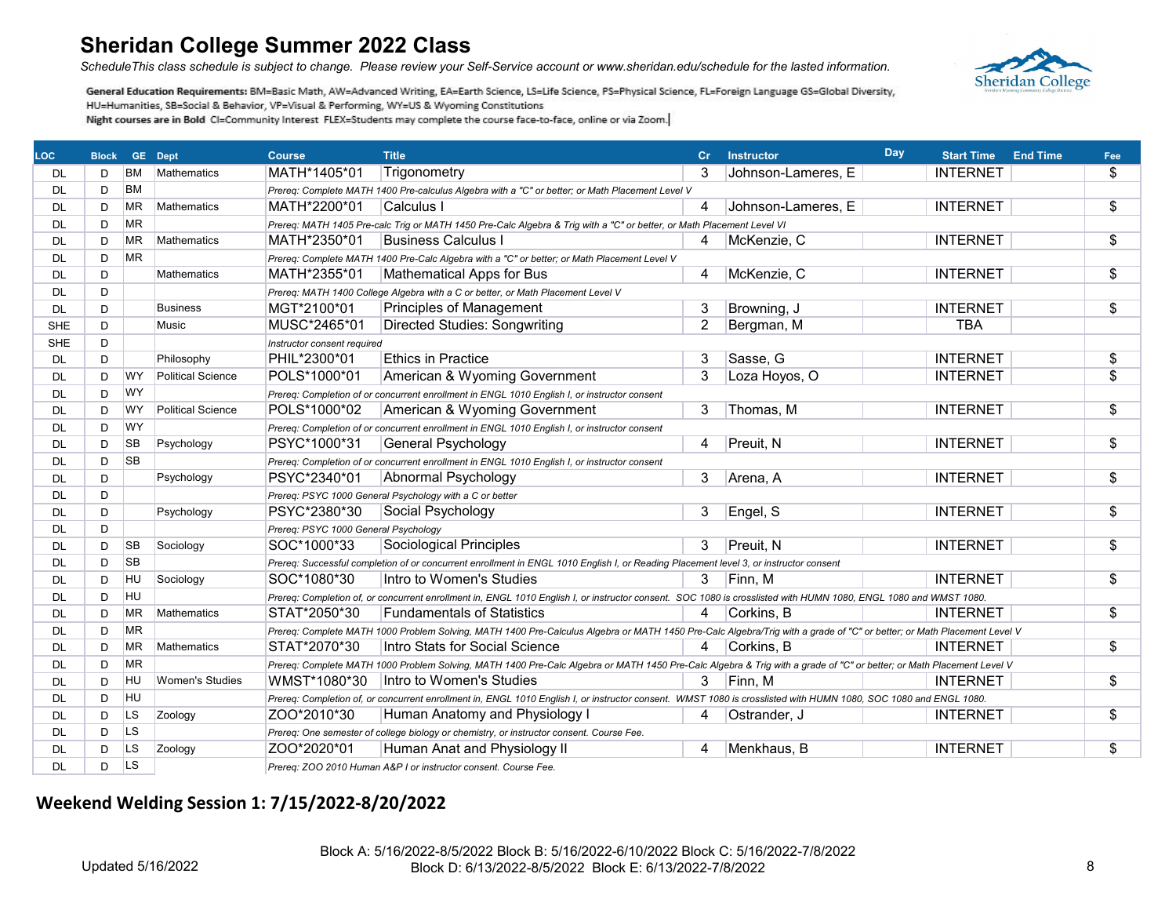*ScheduleThis class schedule is subject to change. Please review your Self-Service account or www.sheridan.edu/schedule for the lasted information.*



General Education Requirements: BM=Basic Math, AW=Advanced Writing, EA=Earth Science, LS=Life Science, PS=Physical Science, FL=Foreign Language GS=Global Diversity, HU=Humanities, SB=Social & Behavior, VP=Visual & Performing, WY=US & Wyoming Constitutions Night courses are in Bold CI=Community Interest FLEX=Students may complete the course face-to-face, online or via Zoom.

| <b>LOC</b> | <b>Block</b> |           | <b>GE</b> Dept           | <b>Course</b>                        | <b>Title</b>                                                                                                                                                           | cr             | <b>Instructor</b>  | <b>Day</b> | <b>Start Time</b> | <b>End Time</b> | Fee                      |
|------------|--------------|-----------|--------------------------|--------------------------------------|------------------------------------------------------------------------------------------------------------------------------------------------------------------------|----------------|--------------------|------------|-------------------|-----------------|--------------------------|
| DL.        | D            | ВM        | <b>Mathematics</b>       | MATH*1405*01                         | Trigonometry                                                                                                                                                           | 3              | Johnson-Lameres, E |            | <b>INTERNET</b>   |                 | \$                       |
| DL.        | D            | <b>BM</b> |                          |                                      | Prereq: Complete MATH 1400 Pre-calculus Algebra with a "C" or better; or Math Placement Level V                                                                        |                |                    |            |                   |                 |                          |
| <b>DL</b>  | D            | <b>MR</b> | <b>Mathematics</b>       | MATH*2200*01                         | Calculus I                                                                                                                                                             | $\overline{4}$ | Johnson-Lameres, E |            | <b>INTERNET</b>   |                 | \$                       |
| <b>DL</b>  | D            | <b>MR</b> |                          |                                      | Prereg: MATH 1405 Pre-calc Trig or MATH 1450 Pre-Calc Algebra & Trig with a "C" or better, or Math Placement Level VI                                                  |                |                    |            |                   |                 |                          |
| <b>DL</b>  | D            | <b>MR</b> | Mathematics              | MATH*2350*01                         | <b>Business Calculus I</b>                                                                                                                                             | 4              | McKenzie, C        |            | <b>INTERNET</b>   |                 | \$                       |
| <b>DL</b>  | D            | <b>MR</b> |                          |                                      | Prereq: Complete MATH 1400 Pre-Calc Algebra with a "C" or better; or Math Placement Level V                                                                            |                |                    |            |                   |                 |                          |
| <b>DL</b>  | D            |           | <b>Mathematics</b>       | MATH*2355*01                         | <b>Mathematical Apps for Bus</b>                                                                                                                                       | 4              | McKenzie, C        |            | <b>INTERNET</b>   |                 | \$                       |
| <b>DL</b>  | D            |           |                          |                                      | Prereg: MATH 1400 College Algebra with a C or better, or Math Placement Level V                                                                                        |                |                    |            |                   |                 |                          |
| <b>DL</b>  | D            |           | <b>Business</b>          | MGT*2100*01                          | <b>Principles of Management</b>                                                                                                                                        | 3              | Browning, J        |            | <b>INTERNET</b>   |                 | \$                       |
| <b>SHE</b> | D            |           | Music                    | MUSC*2465*01                         | <b>Directed Studies: Songwriting</b>                                                                                                                                   | $\overline{2}$ | Bergman, M         |            | <b>TBA</b>        |                 |                          |
| <b>SHE</b> | D            |           |                          | Instructor consent required          |                                                                                                                                                                        |                |                    |            |                   |                 |                          |
| <b>DL</b>  | D            |           | Philosophy               | PHIL*2300*01                         | <b>Ethics in Practice</b>                                                                                                                                              | 3              | Sasse, G           |            | <b>INTERNET</b>   |                 | \$                       |
| <b>DL</b>  | D.           | <b>WY</b> | <b>Political Science</b> | POLS*1000*01                         | American & Wyoming Government                                                                                                                                          | 3              | Loza Hoyos, O      |            | <b>INTERNET</b>   |                 | $\overline{\mathcal{S}}$ |
| DL         | D            | <b>WY</b> |                          |                                      | Prereq: Completion of or concurrent enrollment in ENGL 1010 English I, or instructor consent                                                                           |                |                    |            |                   |                 |                          |
| DL         | D            | WY.       | <b>Political Science</b> | POLS*1000*02                         | American & Wyoming Government                                                                                                                                          | 3              | Thomas, M          |            | <b>INTERNET</b>   |                 | $\overline{\$}$          |
| <b>DL</b>  | D            | <b>WY</b> |                          |                                      | Prereg: Completion of or concurrent enrollment in ENGL 1010 English I, or instructor consent                                                                           |                |                    |            |                   |                 |                          |
| <b>DL</b>  | D            | <b>SB</b> | Psychology               | PSYC*1000*31                         | General Psychology                                                                                                                                                     | 4              | Preuit, N          |            | <b>INTERNET</b>   |                 | \$                       |
| <b>DL</b>  | D            | <b>SB</b> |                          |                                      | Prereg: Completion of or concurrent enrollment in ENGL 1010 English I, or instructor consent                                                                           |                |                    |            |                   |                 |                          |
| <b>DL</b>  | D            |           | Psychology               | PSYC*2340*01                         | Abnormal Psychology                                                                                                                                                    | 3              | Arena, A           |            | <b>INTERNET</b>   |                 | \$                       |
| <b>DL</b>  | D            |           |                          |                                      | Prereq: PSYC 1000 General Psychology with a C or better                                                                                                                |                |                    |            |                   |                 |                          |
| <b>DL</b>  | D            |           | Psychology               | PSYC*2380*30                         | Social Psychology                                                                                                                                                      | 3              | Engel, S           |            | <b>INTERNET</b>   |                 | $\overline{\$}$          |
| <b>DL</b>  | D            |           |                          | Prereg: PSYC 1000 General Psychology |                                                                                                                                                                        |                |                    |            |                   |                 |                          |
| DL         | D            | <b>SB</b> | Sociology                | SOC*1000*33                          | <b>Sociological Principles</b>                                                                                                                                         | 3              | Preuit, N          |            | <b>INTERNET</b>   |                 | \$                       |
| DL         | D            | <b>SB</b> |                          |                                      | Prereq: Successful completion of or concurrent enrollment in ENGL 1010 English I, or Reading Placement level 3, or instructor consent                                  |                |                    |            |                   |                 |                          |
| <b>DL</b>  | D            | <b>HU</b> | Sociology                | SOC*1080*30                          | Intro to Women's Studies                                                                                                                                               | 3              | Finn. M            |            | <b>INTERNET</b>   |                 | $\overline{\$}$          |
| <b>DL</b>  | D            | <b>HU</b> |                          |                                      | Prereq: Completion of, or concurrent enrollment in, ENGL 1010 English I, or instructor consent. SOC 1080 is crosslisted with HUMN 1080, ENGL 1080 and WMST 1080.       |                |                    |            |                   |                 |                          |
| DL         | D            | <b>MR</b> | <b>Mathematics</b>       | STAT*2050*30                         | <b>Fundamentals of Statistics</b>                                                                                                                                      | 4              | Corkins, B         |            | <b>INTERNET</b>   |                 | \$                       |
| <b>DL</b>  | D            | <b>MR</b> |                          |                                      | Prereq: Complete MATH 1000 Problem Solving, MATH 1400 Pre-Calculus Algebra or MATH 1450 Pre-Calc Algebra/Trig with a grade of "C" or better; or Math Placement Level V |                |                    |            |                   |                 |                          |
| <b>DL</b>  | D            | <b>MR</b> | <b>Mathematics</b>       | STAT*2070*30                         | Intro Stats for Social Science                                                                                                                                         | 4              | Corkins, B         |            | <b>INTERNET</b>   |                 | $\overline{\$}$          |
| <b>DL</b>  | D            | <b>MR</b> |                          |                                      | Prereg: Complete MATH 1000 Problem Solving, MATH 1400 Pre-Calc Algebra or MATH 1450 Pre-Calc Algebra & Trig with a grade of "C" or better; or Math Placement Level V   |                |                    |            |                   |                 |                          |
| <b>DL</b>  | D            | <b>HU</b> | <b>Women's Studies</b>   |                                      | WMST*1080*30   Intro to Women's Studies                                                                                                                                | 3              | Finn, M            |            | <b>INTERNET</b>   |                 | \$                       |
| <b>DL</b>  | D            | <b>HU</b> |                          |                                      | Prereq: Completion of, or concurrent enrollment in, ENGL 1010 English I, or instructor consent. WMST 1080 is crosslisted with HUMN 1080, SOC 1080 and ENGL 1080.       |                |                    |            |                   |                 |                          |
| <b>DL</b>  | D            | <b>LS</b> | Zoology                  | ZOO*2010*30                          | Human Anatomy and Physiology I                                                                                                                                         | 4              | Ostrander, J       |            | <b>INTERNET</b>   |                 | \$                       |
| <b>DL</b>  | D            | <b>LS</b> |                          |                                      | Prereq: One semester of college biology or chemistry, or instructor consent. Course Fee.                                                                               |                |                    |            |                   |                 |                          |
| <b>DL</b>  | D            | <b>LS</b> | Zoology                  | ZOO*2020*01                          | Human Anat and Physiology II                                                                                                                                           | 4              | Menkhaus, B        |            | <b>INTERNET</b>   |                 | \$                       |
| <b>DL</b>  | D            | <b>LS</b> |                          |                                      | Prereq: ZOO 2010 Human A&P I or instructor consent. Course Fee.                                                                                                        |                |                    |            |                   |                 |                          |

### **Weekend Welding Session 1: 7/15/2022-8/20/2022**